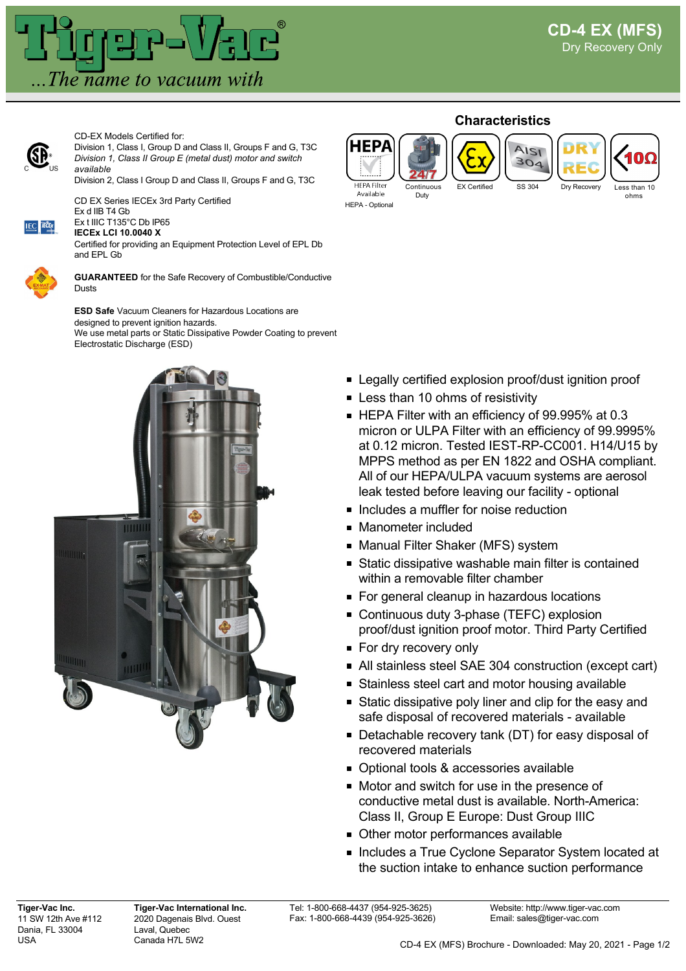

CD-EX Models Certified for:

CD EX Series IECEx 3rd Party Certified



Division 1, Class I, Group D and Class II, Groups F and G, T3C *Division 1, Class II Group E (metal dust) motor and switch available*

Division 2, Class I Group D and Class II, Groups F and G, T3C



Ex t IIIC T135°C Db IP65

**IECEx LCI 10.0040 X**

Ex d IIB T4 Gb

Certified for providing an Equipment Protection Level of EPL Db and EPL Gb



**GUARANTEED** for the Safe Recovery of Combustible/Conductive Dusts

**ESD Safe** Vacuum Cleaners for Hazardous Locations are designed to prevent ignition hazards. We use metal parts or Static Dissipative Powder Coating to prevent Electrostatic Discharge (ESD)



## **Characteristics**



**FP** 

- HEPA Optional
- EX Certified SS 304 Drv Recove

Continuous Duty





- **Example 2** Legally certified explosion proof/dust ignition proof
- **Less than 10 ohms of resistivity**
- HEPA Filter with an efficiency of 99.995% at 0.3 micron or ULPA Filter with an efficiency of 99.9995% at 0.12 micron. Tested IEST-RP-CC001. H14/U15 by MPPS method as per EN 1822 and OSHA compliant. All of our HEPA/ULPA vacuum systems are aerosol leak tested before leaving our facility - optional
- **Includes a muffler for noise reduction**
- **Manometer included**
- Manual Filter Shaker (MFS) system
- Static dissipative washable main filter is contained within a removable filter chamber
- For general cleanup in hazardous locations
- Continuous duty 3-phase (TEFC) explosion proof/dust ignition proof motor. Third Party Certified
- **For dry recovery only**
- All stainless steel SAE 304 construction (except cart)
- **Stainless steel cart and motor housing available**
- **Static dissipative poly liner and clip for the easy and** safe disposal of recovered materials - available
- Detachable recovery tank (DT) for easy disposal of recovered materials
- Optional tools & accessories available
- Motor and switch for use in the presence of conductive metal dust is available. North-America: Class II, Group E Europe: Dust Group IIIC
- Other motor performances available
- **Includes a True Cyclone Separator System located at Includes a True Cyclone Separator System Incated at** the suction intake to enhance suction performance

Tel: 1-800-668-4437 (954-925-3625) Fax: 1-800-668-4439 (954-925-3626)

Website: http://www.tiger-vac.com Email: sales@tiger-vac.com